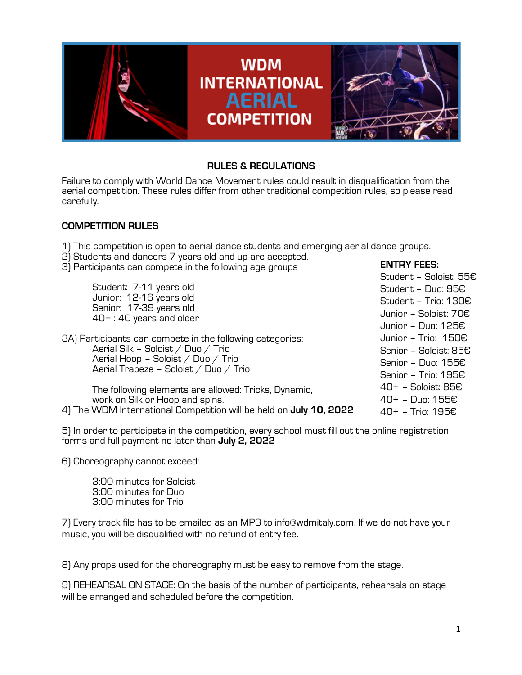

# **RULES & REGULATIONS**

Failure to comply with World Dance Movement rules could result in disqualification from the aerial competition. These rules differ from other traditional competition rules, so please read carefully.

# **COMPETITION RULES**

1) This competition is open to aerial dance students and emerging aerial dance groups.

- 2) Students and dancers 7 years old and up are accepted.
- 3) Participants can compete in the following age groups

|  |                                                                               |                                                           | Student - Soloist: 55€         |
|--|-------------------------------------------------------------------------------|-----------------------------------------------------------|--------------------------------|
|  | Student: 7-11 years old                                                       |                                                           | Student - Duo: 95€             |
|  | Junior: 12-16 years old<br>Senior: 17-39 years old<br>40+: 40 years and older |                                                           | Student - Trio: 130€           |
|  |                                                                               |                                                           | Junior - Soloist: 70€          |
|  |                                                                               |                                                           | Junior - Duo: 125€             |
|  |                                                                               | 3A) Participants can compete in the following categories: | Junior - Trio: $150E$          |
|  | Aerial Silk - Soloist / Duo / Trio                                            |                                                           | Senior - Soloist: 85€          |
|  | Aerial Hoop - Soloist / Duo / Trio<br>Aerial Trapeze - Soloist / Duo / Trio   |                                                           | Senior - Duo: 155€             |
|  |                                                                               |                                                           | Senior - Trio: 195€            |
|  | The following elements are allowed: Tricks, Dynamic,                          |                                                           | $40+$ - Soloist: 85 $\epsilon$ |
|  | work on Silk or Hoop and spins.                                               |                                                           | 40+ - Duo: 155€                |
|  | 4) The WDM International Competition will be held on <b>July 10, 2022</b>     |                                                           | 40+ - Trio: 195€               |

5) In order to participate in the competition, every school must fill out the online registration forms and full payment no later than **July 2, 2022**

6) Choreography cannot exceed:

3:00 minutes for Soloist 3:00 minutes for Duo 3:00 minutes for Trio

7) Every track file has to be emailed as an MP3 to info@wdmitaly.com. If we do not have your music, you will be disqualified with no refund of entry fee.

8) Any props used for the choreography must be easy to remove from the stage.

9) REHEARSAL ON STAGE: On the basis of the number of participants, rehearsals on stage will be arranged and scheduled before the competition.

**ENTRY FEES:**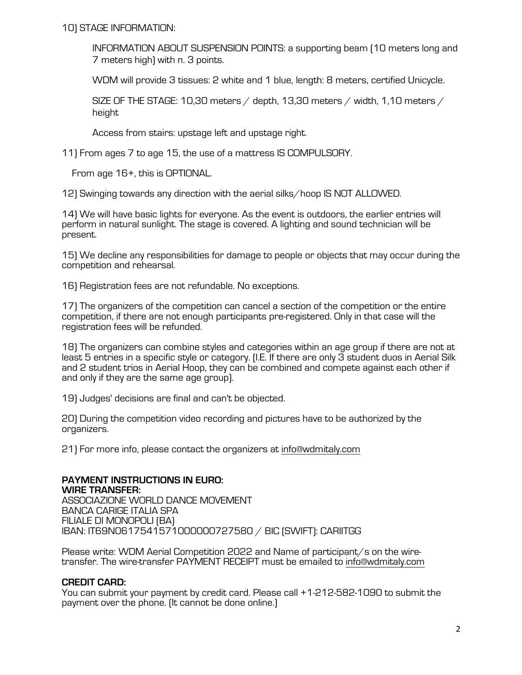10) STAGE INFORMATION:

INFORMATION ABOUT SUSPENSION POINTS: a supporting beam (10 meters long and 7 meters high) with n. 3 points.

WDM will provide 3 tissues: 2 white and 1 blue, length: 8 meters, certified Unicycle.

SIZE OF THE STAGE: 10,30 meters  $/$  depth, 13,30 meters  $/$  width, 1,10 meters  $/$ height

Access from stairs: upstage left and upstage right.

11) From ages 7 to age 15, the use of a mattress IS COMPULSORY.

From age 16+, this is OPTIONAL.

12) Swinging towards any direction with the aerial silks/hoop IS NOT ALLOWED.

14) We will have basic lights for everyone. As the event is outdoors, the earlier entries will perform in natural sunlight. The stage is covered. A lighting and sound technician will be present.

15) We decline any responsibilities for damage to people or objects that may occur during the competition and rehearsal.

16) Registration fees are not refundable. No exceptions.

17) The organizers of the competition can cancel a section of the competition or the entire competition, if there are not enough participants pre-registered. Only in that case will the registration fees will be refunded.

18) The organizers can combine styles and categories within an age group if there are not at least 5 entries in a specific style or category. (I.E. If there are only 3 student duos in Aerial Silk and 2 student trios in Aerial Hoop, they can be combined and compete against each other if and only if they are the same age group).

19) Judges' decisions are final and can't be objected.

20) During the competition video recording and pictures have to be authorized by the organizers.

21) For more info, please contact the organizers at info@wdmitaly.com

**PAYMENT INSTRUCTIONS IN EURO: WIRE TRANSFER:** ASSOCIAZIONE WORLD DANCE MOVEMENT BANCA CARIGE ITALIA SPA FILIALE DI MONOPOLI (BA) IBAN: IT69N0617541571000000727580 / BIC (SWIFT): CARIITGG

Please write: WDM Aerial Competition 2022 and Name of participant/s on the wiretransfer. The wire-transfer PAYMENT RECEIPT must be emailed to info@wdmitaly.com

# **CREDIT CARD:**

You can submit your payment by credit card. Please call +1-212-582-1090 to submit the payment over the phone. (It cannot be done online.)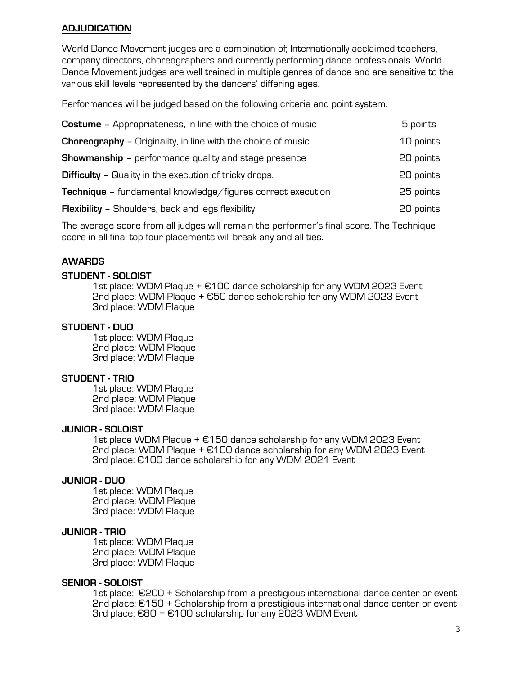## **ADJUDICATION**

World Dance Movement judges are a combination of; Internationally acclaimed teachers, company directors, choreographers and currently performing dance professionals. World Dance Movement judges are well trained in multiple genres of dance and are sensitive to the various skill levels represented by the dancers' differing ages.

Performances will be judged based on the following criteria and point system.

| <b>Costume</b> - Appropriateness, in line with the choice of music  | 5 points  |
|---------------------------------------------------------------------|-----------|
| <b>Choreography</b> - Originality, in line with the choice of music | 10 points |
| <b>Showmanship</b> - performance quality and stage presence         | 20 points |
| <b>Difficulty</b> - Quality in the execution of tricky drops.       | 20 points |
| <b>Technique</b> – fundamental knowledge/figures correct execution  | 25 points |
| <b>Flexibility</b> - Shoulders, back and legs flexibility           | 20 points |
|                                                                     |           |

The average score from all judges will remain the performer's final score. The Technique score in all final top four placements will break any and all ties.

### **AWARDS**

#### **STUDENT - SOLOIST**

1st place: WDM Plaque + €100 dance scholarship for any WDM 2023 Event 2nd place: WDM Plaque + €50 dance scholarship for any WDM 2023 Event 3rd place: WDM Plaque

#### **STUDENT - DUO**

1st place: WDM Plaque 2nd place: WDM Plaque 3rd place: WDM Plaque

### **STUDENT - TRIO**

1st place: WDM Plaque 2nd place: WDM Plaque 3rd place: WDM Plaque

#### **JUNIOR - SOLOIST**

1st place WDM Plaque + €150 dance scholarship for any WDM 2023 Event 2nd place: WDM Plaque + €100 dance scholarship for any WDM 2023 Event 3rd place: €100 dance scholarship for any WDM 2021 Event

#### **JUNIOR - DUO**

1st place: WDM Plaque 2nd place: WDM Plaque 3rd place: WDM Plaque

**JUNIOR - TRIO** 1st place: WDM Plaque 2nd place: WDM Plaque 3rd place: WDM Plaque

**SENIOR - SOLOIST**<br>1st place: €200 + Scholarship from a prestigious international dance center or event 2nd place: €150 + Scholarship from a prestigious international dance center or event 3rd place: €80 + €100 scholarship for any 2023 WDM Event